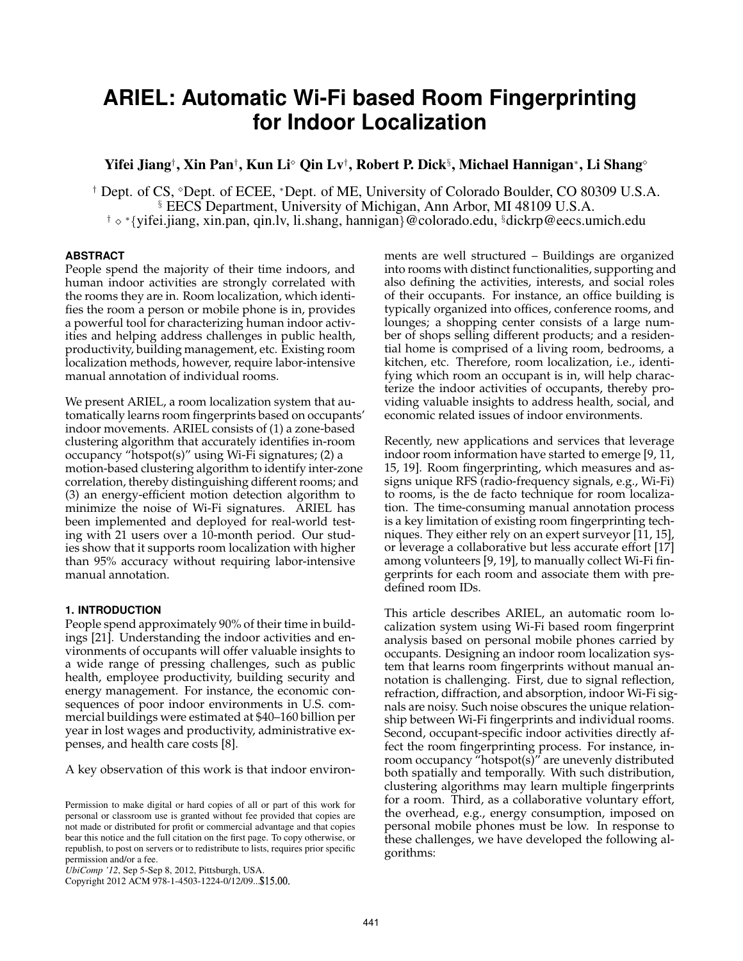# **ARIEL: Automatic Wi-Fi based Room Fingerprinting for Indoor Localization**

Yifei Jiang†, Xin Pan†, Kun Li° Qin Lv†, Robert P. Dick§, Michael Hannigan\*, Li Shang°

† Dept. of CS, <sup>⋄</sup>Dept. of ECEE, <sup>∗</sup>Dept. of ME, University of Colorado Boulder, CO 80309 U.S.A. § EECS Department, University of Michigan, Ann Arbor, MI 48109 U.S.A. † ⋄ <sup>∗</sup>{yifei.jiang, xin.pan, qin.lv, li.shang, hannigan}@colorado.edu, §dickrp@eecs.umich.edu

# **ABSTRACT**

People spend the majority of their time indoors, and human indoor activities are strongly correlated with the rooms they are in. Room localization, which identifies the room a person or mobile phone is in, provides a powerful tool for characterizing human indoor activities and helping address challenges in public health, productivity, building management, etc. Existing room localization methods, however, require labor-intensive manual annotation of individual rooms.

We present ARIEL, a room localization system that automatically learns room fingerprints based on occupants' indoor movements. ARIEL consists of (1) a zone-based clustering algorithm that accurately identifies in-room occupancy "hotspot(s)" using Wi-Fi signatures; (2) a motion-based clustering algorithm to identify inter-zone correlation, thereby distinguishing different rooms; and (3) an energy-efficient motion detection algorithm to minimize the noise of Wi-Fi signatures. ARIEL has been implemented and deployed for real-world testing with 21 users over a 10-month period. Our studies show that it supports room localization with higher than 95% accuracy without requiring labor-intensive manual annotation.

## **1. INTRODUCTION**

People spend approximately 90% of their time in buildings [21]. Understanding the indoor activities and environments of occupants will offer valuable insights to a wide range of pressing challenges, such as public health, employee productivity, building security and energy management. For instance, the economic consequences of poor indoor environments in U.S. commercial buildings were estimated at \$40–160 billion per year in lost wages and productivity, administrative expenses, and health care costs [8].

A key observation of this work is that indoor environ-

*UbiComp '12*, Sep 5-Sep 8, 2012, Pittsburgh, USA.

Copyright 2012 ACM 978-1-4503-1224-0/12/09...\$15.00.

ments are well structured – Buildings are organized into rooms with distinct functionalities, supporting and also defining the activities, interests, and social roles of their occupants. For instance, an office building is typically organized into offices, conference rooms, and lounges; a shopping center consists of a large number of shops selling different products; and a residential home is comprised of a living room, bedrooms, a kitchen, etc. Therefore, room localization, i.e., identifying which room an occupant is in, will help characterize the indoor activities of occupants, thereby providing valuable insights to address health, social, and economic related issues of indoor environments.

Recently, new applications and services that leverage indoor room information have started to emerge [9, 11, 15, 19]. Room fingerprinting, which measures and assigns unique RFS (radio-frequency signals, e.g., Wi-Fi) to rooms, is the de facto technique for room localization. The time-consuming manual annotation process is a key limitation of existing room fingerprinting techniques. They either rely on an expert surveyor [11, 15], or leverage a collaborative but less accurate effort [17] among volunteers [9, 19], to manually collect Wi-Fi fingerprints for each room and associate them with predefined room IDs.

This article describes ARIEL, an automatic room localization system using Wi-Fi based room fingerprint analysis based on personal mobile phones carried by occupants. Designing an indoor room localization system that learns room fingerprints without manual annotation is challenging. First, due to signal reflection, refraction, diffraction, and absorption, indoor Wi-Fi signals are noisy. Such noise obscures the unique relationship between Wi-Fi fingerprints and individual rooms. Second, occupant-specific indoor activities directly affect the room fingerprinting process. For instance, inroom occupancy "hotspot(s)" are unevenly distributed both spatially and temporally. With such distribution, clustering algorithms may learn multiple fingerprints for a room. Third, as a collaborative voluntary effort, the overhead, e.g., energy consumption, imposed on personal mobile phones must be low. In response to these challenges, we have developed the following algorithms:

Permission to make digital or hard copies of all or part of this work for personal or classroom use is granted without fee provided that copies are not made or distributed for profit or commercial advantage and that copies bear this notice and the full citation on the first page. To copy otherwise, or republish, to post on servers or to redistribute to lists, requires prior specific permission and/or a fee.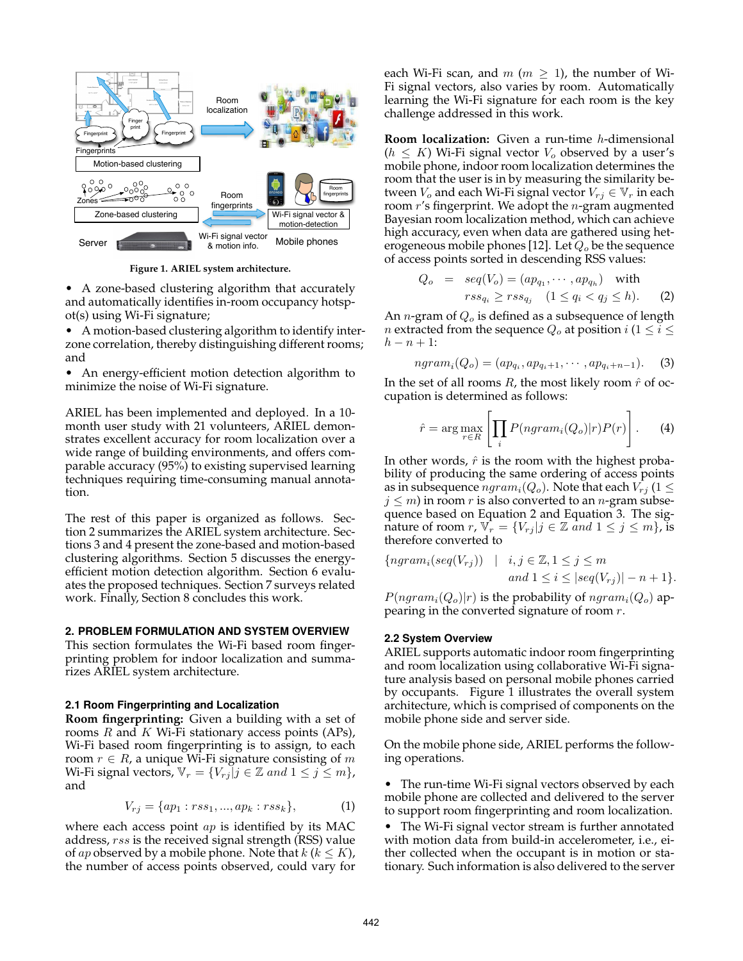

**Figure 1. ARIEL system architecture.**

• A zone-based clustering algorithm that accurately and automatically identifies in-room occupancy hotspot(s) using Wi-Fi signature;

• A motion-based clustering algorithm to identify interzone correlation, thereby distinguishing different rooms; and

• An energy-efficient motion detection algorithm to minimize the noise of Wi-Fi signature.

ARIEL has been implemented and deployed. In a 10 month user study with 21 volunteers, ARIEL demonstrates excellent accuracy for room localization over a wide range of building environments, and offers comparable accuracy (95%) to existing supervised learning techniques requiring time-consuming manual annotation.

The rest of this paper is organized as follows. Section 2 summarizes the ARIEL system architecture. Sections 3 and 4 present the zone-based and motion-based clustering algorithms. Section 5 discusses the energyefficient motion detection algorithm. Section 6 evaluates the proposed techniques. Section 7 surveys related work. Finally, Section 8 concludes this work.

#### **2. PROBLEM FORMULATION AND SYSTEM OVERVIEW**

This section formulates the Wi-Fi based room fingerprinting problem for indoor localization and summarizes ARIEL system architecture.

#### **2.1 Room Fingerprinting and Localization**

**Room fingerprinting:** Given a building with a set of rooms  $R$  and  $K$  Wi-Fi stationary access points (APs), Wi-Fi based room fingerprinting is to assign, to each room  $r \in R$ , a unique Wi-Fi signature consisting of m Wi-Fi signal vectors,  $\mathbb{V}_r = \{V_{rj} | j \in \mathbb{Z} \text{ and } 1 \leq j \leq m\}$ , and

$$
V_{rj} = \{ap_1 : rss_1, ..., ap_k : rss_k\},\tag{1}
$$

where each access point  $ap$  is identified by its MAC address, rss is the received signal strength (RSS) value of *ap* observed by a mobile phone. Note that  $k (k \leq K)$ , the number of access points observed, could vary for each Wi-Fi scan, and  $m (m \geq 1)$ , the number of Wi-Fi signal vectors, also varies by room. Automatically learning the Wi-Fi signature for each room is the key challenge addressed in this work.

**Room localization:** Given a run-time h-dimensional  $(h \leq K)$  Wi-Fi signal vector  $V<sub>o</sub>$  observed by a user's mobile phone, indoor room localization determines the room that the user is in by measuring the similarity between  $V_o$  and each Wi-Fi signal vector  $V_{rj} \in V_r$  in each room  $r$ 's fingerprint. We adopt the  $n$ -gram augmented Bayesian room localization method, which can achieve high accuracy, even when data are gathered using heterogeneous mobile phones [12]. Let  $Q<sub>o</sub>$  be the sequence of access points sorted in descending RSS values:

$$
Q_o = seq(V_o) = (ap_{q_1}, \cdots, ap_{q_h}) \text{ with}
$$

$$
rss_{q_i} \geq rss_{q_j} \quad (1 \leq q_i < q_j \leq h). \tag{2}
$$

An *n*-gram of  $Q<sub>o</sub>$  is defined as a subsequence of length *n* extracted from the sequence  $Q_o$  at position  $i$  ( $1 \le i \le n$  $h - n + 1$ :

$$
ngram_i(Q_o) = (ap_{q_i}, ap_{q_i+1}, \cdots, ap_{q_i+n-1}).
$$
 (3)

In the set of all rooms  $R$ , the most likely room  $\hat{r}$  of occupation is determined as follows:

$$
\hat{r} = \arg \max_{r \in R} \left[ \prod_{i} P(ngram_i(Q_o)|r)P(r) \right].
$$
 (4)

In other words,  $\hat{r}$  is the room with the highest probability of producing the same ordering of access points as in subsequence  $ngram_i(Q_o)$ . Note that each  $V_{ri}$  (1  $\leq$  $j \leq m$ ) in room r is also converted to an n-gram subsequence based on Equation 2 and Equation 3. The signature of room  $r$ ,  $\mathbb{V}_r = \{V_{rj} | j \in \mathbb{Z} \text{ and } 1 \leq j \leq m\}$ , is therefore converted to

$$
\{ngram_i(seq(V_{rj})) \mid i, j \in \mathbb{Z}, 1 \le j \le m
$$
  
and  $1 \le i \le |seq(V_{rj})| - n + 1\}.$ 

 $P(ngram_i(Q_o)|r)$  is the probability of  $ngram_i(Q_o)$  appearing in the converted signature of room r.

#### **2.2 System Overview**

ARIEL supports automatic indoor room fingerprinting and room localization using collaborative Wi-Fi signature analysis based on personal mobile phones carried by occupants. Figure 1 illustrates the overall system architecture, which is comprised of components on the mobile phone side and server side.

On the mobile phone side, ARIEL performs the following operations.

• The run-time Wi-Fi signal vectors observed by each mobile phone are collected and delivered to the server to support room fingerprinting and room localization.

• The Wi-Fi signal vector stream is further annotated with motion data from build-in accelerometer, i.e., either collected when the occupant is in motion or stationary. Such information is also delivered to the server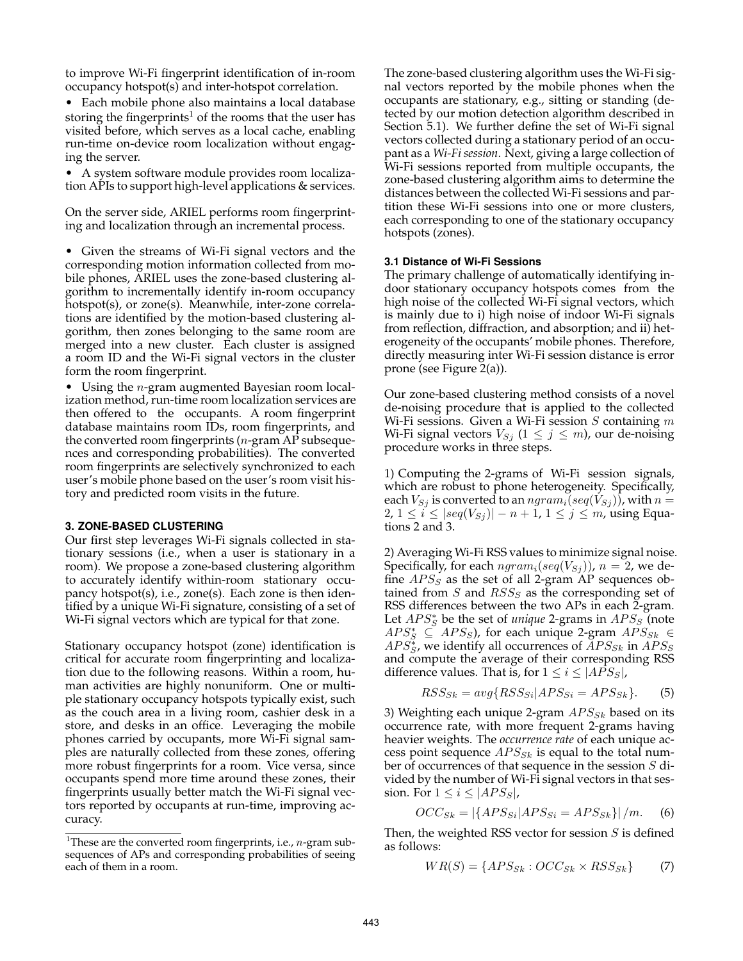to improve Wi-Fi fingerprint identification of in-room occupancy hotspot(s) and inter-hotspot correlation.

• Each mobile phone also maintains a local database storing the fingerprints<sup>1</sup> of the rooms that the user has visited before, which serves as a local cache, enabling run-time on-device room localization without engaging the server.

• A system software module provides room localization APIs to support high-level applications & services.

On the server side, ARIEL performs room fingerprinting and localization through an incremental process.

• Given the streams of Wi-Fi signal vectors and the corresponding motion information collected from mobile phones, ARIEL uses the zone-based clustering algorithm to incrementally identify in-room occupancy hotspot(s), or zone(s). Meanwhile, inter-zone correlations are identified by the motion-based clustering algorithm, then zones belonging to the same room are merged into a new cluster. Each cluster is assigned a room ID and the Wi-Fi signal vectors in the cluster form the room fingerprint.

• Using the *n*-gram augmented Bayesian room localization method, run-time room localization services are then offered to the occupants. A room fingerprint database maintains room IDs, room fingerprints, and the converted room fingerprints ( $n$ -gram AP subsequences and corresponding probabilities). The converted room fingerprints are selectively synchronized to each user's mobile phone based on the user's room visit history and predicted room visits in the future.

# **3. ZONE-BASED CLUSTERING**

Our first step leverages Wi-Fi signals collected in stationary sessions (i.e., when a user is stationary in a room). We propose a zone-based clustering algorithm to accurately identify within-room stationary occupancy hotspot(s), i.e., zone(s). Each zone is then identified by a unique Wi-Fi signature, consisting of a set of Wi-Fi signal vectors which are typical for that zone.

Stationary occupancy hotspot (zone) identification is critical for accurate room fingerprinting and localization due to the following reasons. Within a room, human activities are highly nonuniform. One or multiple stationary occupancy hotspots typically exist, such as the couch area in a living room, cashier desk in a store, and desks in an office. Leveraging the mobile phones carried by occupants, more Wi-Fi signal samples are naturally collected from these zones, offering more robust fingerprints for a room. Vice versa, since occupants spend more time around these zones, their fingerprints usually better match the Wi-Fi signal vectors reported by occupants at run-time, improving accuracy.

The zone-based clustering algorithm uses the Wi-Fi signal vectors reported by the mobile phones when the occupants are stationary, e.g., sitting or standing (detected by our motion detection algorithm described in Section 5.1). We further define the set of Wi-Fi signal vectors collected during a stationary period of an occupant as a *Wi-Fi session*. Next, giving a large collection of Wi-Fi sessions reported from multiple occupants, the zone-based clustering algorithm aims to determine the distances between the collected Wi-Fi sessions and partition these Wi-Fi sessions into one or more clusters, each corresponding to one of the stationary occupancy hotspots (zones).

#### **3.1 Distance of Wi-Fi Sessions**

The primary challenge of automatically identifying indoor stationary occupancy hotspots comes from the high noise of the collected Wi-Fi signal vectors, which is mainly due to i) high noise of indoor Wi-Fi signals from reflection, diffraction, and absorption; and ii) heterogeneity of the occupants' mobile phones. Therefore, directly measuring inter Wi-Fi session distance is error prone (see Figure 2(a)).

Our zone-based clustering method consists of a novel de-noising procedure that is applied to the collected Wi-Fi sessions. Given a Wi-Fi session  $S$  containing  $m$ Wi-Fi signal vectors  $V_{Sj}$  ( $1 \le j \le m$ ), our de-noising procedure works in three steps.

1) Computing the 2-grams of Wi-Fi session signals, which are robust to phone heterogeneity. Specifically, each  $V_{Sj}$  is converted to an  $ngram_i(seq(V_{Sj}))$ , with  $n =$ 2, 1 ≤ i ≤ |seq(V<sub>Sj</sub>)| – n + 1, 1 ≤ j ≤ m, using Equations 2 and 3.

2) Averaging Wi-Fi RSS values to minimize signal noise. Specifically, for each  $ngram_i(seq(V_{Sj}))$ ,  $n = 2$ , we define  $APS_S$  as the set of all 2-gram AP sequences obtained from  $S$  and  $RSS_S$  as the corresponding set of RSS differences between the two APs in each 2-gram. Let  $APS^*_S$  be the set of *unique* 2-grams in  $APS^*_S$  (note  $APS^*_S \subseteq APS_S$ ), for each unique 2-gram  $APS_{Sk} \in$  $APS^*_{S}$ , we identify all occurrences of  $APS_{Sk}$  in  $APS_S$ and compute the average of their corresponding RSS difference values. That is, for  $1 \le i \le |APS_S|$ ,

$$
RSS_{Sk} = avg\{RSS_{Si}|APS_{Si} = APS_{Sk}\}. \tag{5}
$$

3) Weighting each unique 2-gram  $APS_{Sk}$  based on its occurrence rate, with more frequent 2-grams having heavier weights. The *occurrence rate* of each unique access point sequence  $APS_{Sk}$  is equal to the total number of occurrences of that sequence in the session  $S$  divided by the number of Wi-Fi signal vectors in that session. For  $1 \leq i \leq |APS_{S}|$ ,

$$
OCC_{Sk} = |\{APS_{Si} | APS_{Si} = APS_{Sk}\}| / m.
$$
 (6)

Then, the weighted RSS vector for session  $S$  is defined as follows:

$$
WR(S) = \{APS_{Sk} : OCC_{Sk} \times RSS_{Sk} \} \tag{7}
$$

<sup>&</sup>lt;sup>1</sup>These are the converted room fingerprints, i.e., *n*-gram subsequences of APs and corresponding probabilities of seeing each of them in a room.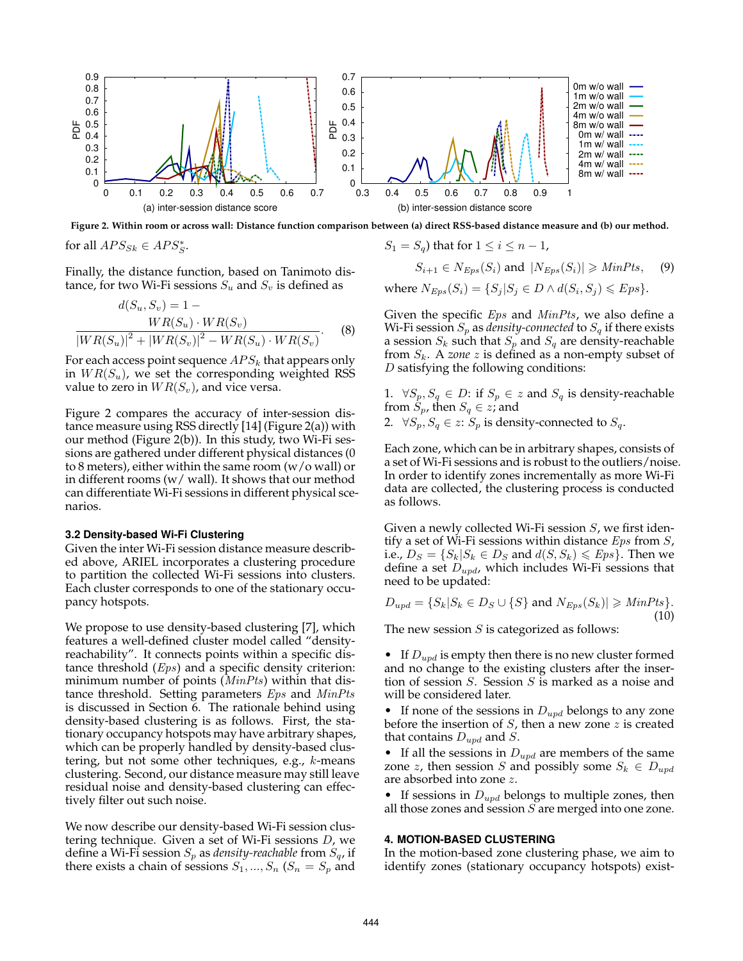

**Figure 2. Within room or across wall: Distance function comparison between (a) direct RSS-based distance measure and (b) our method.**

for all  $APS_{Sk} \in APS_{S^*}^*$ .

Finally, the distance function, based on Tanimoto distance, for two Wi-Fi sessions  $S_u$  and  $S_v$  is defined as

$$
d(S_u, S_v) = 1 - W R(S_u) \cdot WR(S_v)
$$
  
\n
$$
|WR(S_u)|^2 + |WR(S_v)|^2 - WR(S_u) \cdot WR(S_v).
$$
 (8)

For each access point sequence  $APS_k$  that appears only in  $WR(S_u)$ , we set the corresponding weighted RSS value to zero in  $WR(S_v)$ , and vice versa.

Figure 2 compares the accuracy of inter-session distance measure using RSS directly [14] (Figure 2(a)) with our method (Figure 2(b)). In this study, two Wi-Fi sessions are gathered under different physical distances (0 to 8 meters), either within the same room (w/o wall) or in different rooms (w/ wall). It shows that our method can differentiate Wi-Fi sessions in different physical scenarios.

## **3.2 Density-based Wi-Fi Clustering**

Given the inter Wi-Fi session distance measure described above, ARIEL incorporates a clustering procedure to partition the collected Wi-Fi sessions into clusters. Each cluster corresponds to one of the stationary occupancy hotspots.

We propose to use density-based clustering [7], which features a well-defined cluster model called "densityreachability". It connects points within a specific distance threshold  $(Eps)$  and a specific density criterion: minimum number of points  $(MinPts)$  within that distance threshold. Setting parameters Eps and MinPts is discussed in Section 6. The rationale behind using density-based clustering is as follows. First, the stationary occupancy hotspots may have arbitrary shapes, which can be properly handled by density-based clustering, but not some other techniques, e.g., k-means clustering. Second, our distance measure may still leave residual noise and density-based clustering can effectively filter out such noise.

We now describe our density-based Wi-Fi session clustering technique. Given a set of Wi-Fi sessions  $D$ , we define a Wi-Fi session  $S_p$  as *density-reachable* from  $S_q$ , if there exists a chain of sessions  $S_1, ..., S_n$  ( $S_n = S_p$  and

$$
S_1 = S_q
$$
 that for  $1 \le i \le n - 1$ ,

$$
S_{i+1} \in N_{Eps}(S_i) \text{ and } |N_{Eps}(S_i)| \geq MinPts, \quad (9)
$$

where  $N_{Eps}(S_i) = \{S_j | S_j \in D \wedge d(S_i, S_j) \leq Eps\}.$ 

Given the specific Eps and MinPts, we also define a Wi-Fi session  $S_p$  as *density-connected* to  $S_q$  if there exists a session  $S_k$  such that  $S_p$  and  $S_q$  are density-reachable from  $S_k$ . A *zone* z is defined as a non-empty subset of D satisfying the following conditions:

1.  $\forall S_p, S_q \in D$ : if  $S_p \in z$  and  $S_q$  is density-reachable from  $S_p$ , then  $S_q \in z$ ; and

2.  $\forall S_p, S_q \in \mathcal{Z}: S_p$  is density-connected to  $S_q$ .

Each zone, which can be in arbitrary shapes, consists of a set of Wi-Fi sessions and is robust to the outliers/noise. In order to identify zones incrementally as more Wi-Fi data are collected, the clustering process is conducted as follows.

Given a newly collected Wi-Fi session S, we first identify a set of Wi-Fi sessions within distance  $Eps$  from  $S$ , i.e.,  $D_S = \{S_k | S_k \in D_S \text{ and } d(S, S_k) \leq Eps\}$ . Then we define a set  $D_{upd}$ , which includes Wi-Fi sessions that need to be updated:

$$
D_{upd} = \{ S_k | S_k \in D_S \cup \{ S \} \text{ and } N_{Eps}(S_k) | \geq \text{MinPts} \}.
$$
\n(10)

The new session  $S$  is categorized as follows:

- If  $D_{uvd}$  is empty then there is no new cluster formed and no change to the existing clusters after the insertion of session S. Session S is marked as a noise and will be considered later.
- If none of the sessions in  $D_{upd}$  belongs to any zone before the insertion of  $S$ , then a new zone  $z$  is created that contains  $D_{upd}$  and S.
- If all the sessions in  $D_{upd}$  are members of the same zone z, then session S and possibly some  $S_k \in D_{upd}$ are absorbed into zone z.
- If sessions in  $D_{upd}$  belongs to multiple zones, then all those zones and session  $S$  are merged into one zone.

# **4. MOTION-BASED CLUSTERING**

In the motion-based zone clustering phase, we aim to identify zones (stationary occupancy hotspots) exist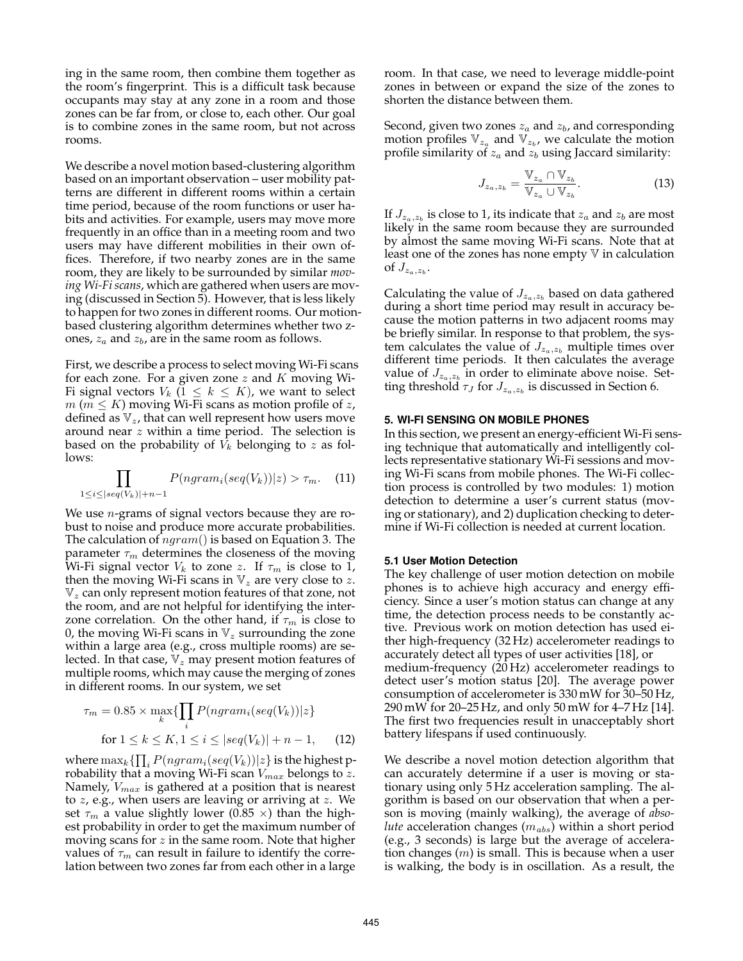ing in the same room, then combine them together as the room's fingerprint. This is a difficult task because occupants may stay at any zone in a room and those zones can be far from, or close to, each other. Our goal is to combine zones in the same room, but not across rooms.

We describe a novel motion based-clustering algorithm based on an important observation – user mobility patterns are different in different rooms within a certain time period, because of the room functions or user habits and activities. For example, users may move more frequently in an office than in a meeting room and two users may have different mobilities in their own offices. Therefore, if two nearby zones are in the same room, they are likely to be surrounded by similar *moving Wi-Fi scans*, which are gathered when users are moving (discussed in Section 5). However, that is less likely to happen for two zones in different rooms. Our motionbased clustering algorithm determines whether two zones,  $z_a$  and  $z_b$ , are in the same room as follows.

First, we describe a process to select moving Wi-Fi scans for each zone. For a given zone  $z$  and  $K$  moving Wi-Fi signal vectors  $V_k$  ( $1 \leq k \leq K$ ), we want to select  $m (m \leq K)$  moving Wi-Fi scans as motion profile of z, defined as  $V_z$ , that can well represent how users move around near  $z$  within a time period. The selection is based on the probability of  $V_k$  belonging to z as follows:

$$
\prod_{1 \le i \le |seq(V_k)| + n - 1} P(ngram_i(seq(V_k)) | z) > \tau_m. \tag{11}
$$

We use  $n$ -grams of signal vectors because they are robust to noise and produce more accurate probabilities. The calculation of  $ngram()$  is based on Equation 3. The parameter  $\tau_m$  determines the closeness of the moving Wi-Fi signal vector  $V_k$  to zone z. If  $\tau_m$  is close to 1, then the moving Wi-Fi scans in  $V_z$  are very close to  $z$ .  $V_z$  can only represent motion features of that zone, not the room, and are not helpful for identifying the interzone correlation. On the other hand, if  $\tau_m$  is close to 0, the moving Wi-Fi scans in  $\mathbb{V}_z$  surrounding the zone within a large area (e.g., cross multiple rooms) are selected. In that case,  $\nabla_z$  may present motion features of multiple rooms, which may cause the merging of zones in different rooms. In our system, we set

$$
\tau_m = 0.85 \times \max_{k} \{ \prod_i P(ngram_i (seq(V_k)) | z \}
$$
  
for  $1 \le k \le K, 1 \le i \le |seq(V_k)| + n - 1,$  (12)

where  $\max_k\{\prod_i P(ngram_i(seq(V_k)) | z\}$  is the highest probability that a moving Wi-Fi scan  $V_{max}$  belongs to  $z$ . Namely,  $V_{max}$  is gathered at a position that is nearest to  $z$ , e.g., when users are leaving or arriving at  $z$ . We set  $\tau_m$  a value slightly lower (0.85  $\times$ ) than the highest probability in order to get the maximum number of moving scans for  $z$  in the same room. Note that higher values of  $\tau_m$  can result in failure to identify the correlation between two zones far from each other in a large room. In that case, we need to leverage middle-point zones in between or expand the size of the zones to shorten the distance between them.

Second, given two zones  $z_a$  and  $z_b$ , and corresponding motion profiles  $\mathbb{V}_{z_a}$  and  $\mathbb{V}_{z_b}$ , we calculate the motion profile similarity of  $z_a$  and  $z_b$  using Jaccard similarity:

$$
J_{z_a, z_b} = \frac{\mathbb{V}_{z_a} \cap \mathbb{V}_{z_b}}{\mathbb{V}_{z_a} \cup \mathbb{V}_{z_b}}.
$$
 (13)

If  $J_{z_a, z_b}$  is close to 1, its indicate that  $z_a$  and  $z_b$  are most likely in the same room because they are surrounded by almost the same moving Wi-Fi scans. Note that at least one of the zones has none empty  $V$  in calculation of  $J_{z_a, z_b}$ .

Calculating the value of  $J_{z_a,z_b}$  based on data gathered during a short time period may result in accuracy because the motion patterns in two adjacent rooms may be briefly similar. In response to that problem, the system calculates the value of  $J_{z_a,z_b}$  multiple times over different time periods. It then calculates the average value of  $J_{z_a,z_b}$  in order to eliminate above noise. Setting threshold  $\tau_J$  for  $J_{z_a,z_b}$  is discussed in Section 6.

## **5. WI-FI SENSING ON MOBILE PHONES**

In this section, we present an energy-efficient Wi-Fi sensing technique that automatically and intelligently collects representative stationary Wi-Fi sessions and moving Wi-Fi scans from mobile phones. The Wi-Fi collection process is controlled by two modules: 1) motion detection to determine a user's current status (moving or stationary), and 2) duplication checking to determine if Wi-Fi collection is needed at current location.

# **5.1 User Motion Detection**

The key challenge of user motion detection on mobile phones is to achieve high accuracy and energy efficiency. Since a user's motion status can change at any time, the detection process needs to be constantly active. Previous work on motion detection has used either high-frequency (32 Hz) accelerometer readings to accurately detect all types of user activities [18], or medium-frequency (20 Hz) accelerometer readings to detect user's motion status [20]. The average power consumption of accelerometer is 330 mW for 30–50 Hz, 290 mW for 20–25 Hz, and only 50 mW for 4–7 Hz [14]. The first two frequencies result in unacceptably short battery lifespans if used continuously.

We describe a novel motion detection algorithm that can accurately determine if a user is moving or stationary using only 5 Hz acceleration sampling. The algorithm is based on our observation that when a person is moving (mainly walking), the average of *absolute* acceleration changes  $(m_{abs})$  within a short period (e.g., 3 seconds) is large but the average of acceleration changes  $(m)$  is small. This is because when a user is walking, the body is in oscillation. As a result, the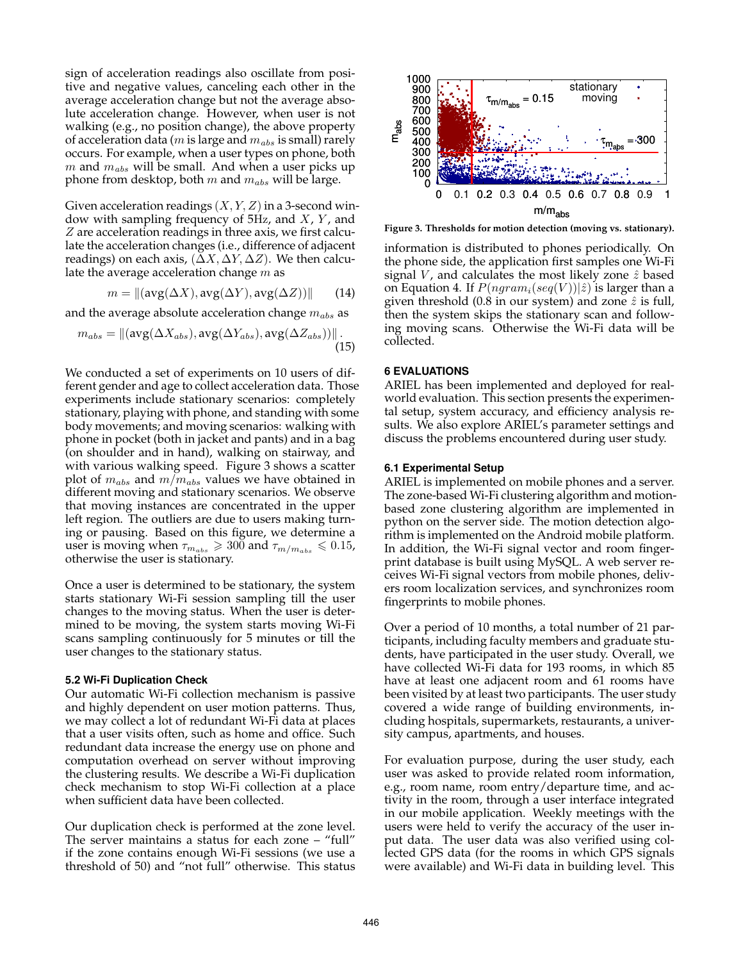sign of acceleration readings also oscillate from positive and negative values, canceling each other in the average acceleration change but not the average absolute acceleration change. However, when user is not walking (e.g., no position change), the above property of acceleration data (*m* is large and  $m_{abs}$  is small) rarely occurs. For example, when a user types on phone, both  $m$  and  $m_{abs}$  will be small. And when a user picks up phone from desktop, both  $m$  and  $m_{abs}$  will be large.

Given acceleration readings  $(X, Y, Z)$  in a 3-second window with sampling frequency of 5Hz, and  $X$ ,  $Y$ , and Z are acceleration readings in three axis, we first calculate the acceleration changes (i.e., difference of adjacent readings) on each axis,  $(\Delta X, \Delta Y, \Delta Z)$ . We then calculate the average acceleration change  $m$  as

$$
m = ||(\text{avg}(\Delta X), \text{avg}(\Delta Y), \text{avg}(\Delta Z))||
$$
 (14)

and the average absolute acceleration change  $m_{abs}$  as

$$
m_{abs} = ||(\text{avg}(\Delta X_{abs}), \text{avg}(\Delta Y_{abs}), \text{avg}(\Delta Z_{abs}))||. \tag{15}
$$

We conducted a set of experiments on 10 users of different gender and age to collect acceleration data. Those experiments include stationary scenarios: completely stationary, playing with phone, and standing with some body movements; and moving scenarios: walking with phone in pocket (both in jacket and pants) and in a bag (on shoulder and in hand), walking on stairway, and with various walking speed. Figure 3 shows a scatter plot of  $m_{abs}$  and  $m/m_{abs}$  values we have obtained in different moving and stationary scenarios. We observe that moving instances are concentrated in the upper left region. The outliers are due to users making turning or pausing. Based on this figure, we determine a user is moving when  $\tau_{m_{abs}} \geq 300$  and  $\tau_{m/m_{abs}} \leq 0.15$ , otherwise the user is stationary.

Once a user is determined to be stationary, the system starts stationary Wi-Fi session sampling till the user changes to the moving status. When the user is determined to be moving, the system starts moving Wi-Fi scans sampling continuously for 5 minutes or till the user changes to the stationary status.

## **5.2 Wi-Fi Duplication Check**

Our automatic Wi-Fi collection mechanism is passive and highly dependent on user motion patterns. Thus, we may collect a lot of redundant Wi-Fi data at places that a user visits often, such as home and office. Such redundant data increase the energy use on phone and computation overhead on server without improving the clustering results. We describe a Wi-Fi duplication check mechanism to stop Wi-Fi collection at a place when sufficient data have been collected.

Our duplication check is performed at the zone level. The server maintains a status for each zone – "full" if the zone contains enough Wi-Fi sessions (we use a threshold of 50) and "not full" otherwise. This status



**Figure 3. Thresholds for motion detection (moving vs. stationary).**

information is distributed to phones periodically. On the phone side, the application first samples one Wi-Fi signal *V*, and calculates the most likely zone  $\hat{z}$  based on Equation 4. If  $P(ngram_i(seq(V))|\hat{z})$  is larger than a given threshold (0.8 in our system) and zone  $\hat{z}$  is full, then the system skips the stationary scan and following moving scans. Otherwise the Wi-Fi data will be collected.

#### **6 EVALUATIONS**

ARIEL has been implemented and deployed for realworld evaluation. This section presents the experimental setup, system accuracy, and efficiency analysis results. We also explore ARIEL's parameter settings and discuss the problems encountered during user study.

#### **6.1 Experimental Setup**

ARIEL is implemented on mobile phones and a server. The zone-based Wi-Fi clustering algorithm and motionbased zone clustering algorithm are implemented in python on the server side. The motion detection algorithm is implemented on the Android mobile platform. In addition, the Wi-Fi signal vector and room fingerprint database is built using MySQL. A web server receives Wi-Fi signal vectors from mobile phones, delivers room localization services, and synchronizes room fingerprints to mobile phones.

Over a period of 10 months, a total number of 21 participants, including faculty members and graduate students, have participated in the user study. Overall, we have collected Wi-Fi data for 193 rooms, in which 85 have at least one adjacent room and 61 rooms have been visited by at least two participants. The user study covered a wide range of building environments, including hospitals, supermarkets, restaurants, a university campus, apartments, and houses.

For evaluation purpose, during the user study, each user was asked to provide related room information, e.g., room name, room entry/departure time, and activity in the room, through a user interface integrated in our mobile application. Weekly meetings with the users were held to verify the accuracy of the user input data. The user data was also verified using collected GPS data (for the rooms in which GPS signals were available) and Wi-Fi data in building level. This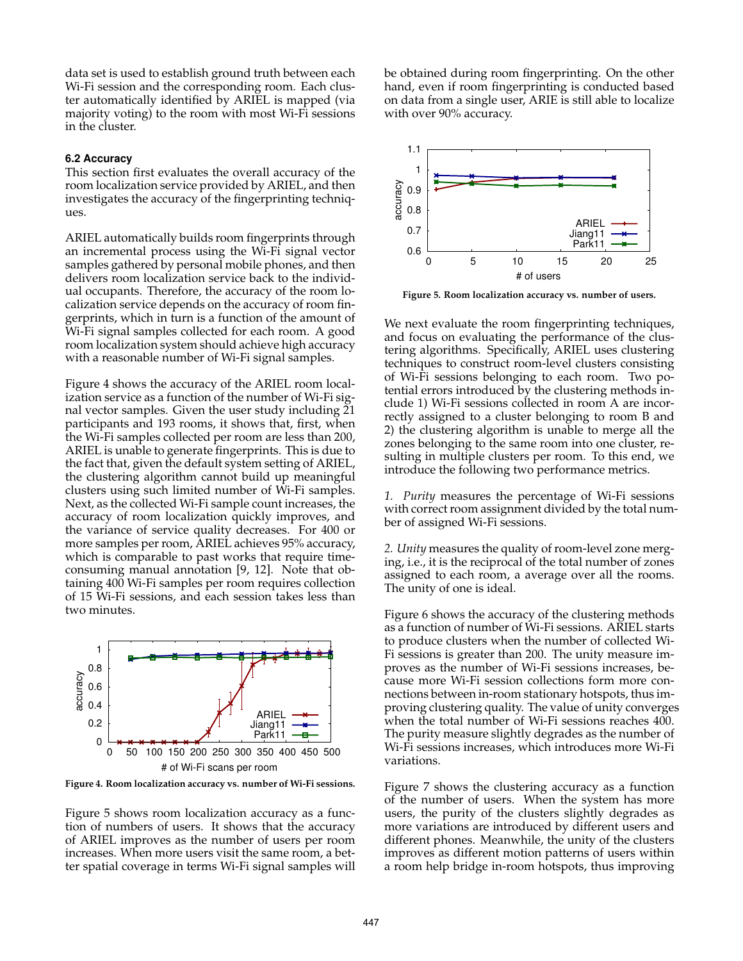data set is used to establish ground truth between each Wi-Fi session and the corresponding room. Each cluster automatically identified by ARIEL is mapped (via majority voting) to the room with most Wi-Fi sessions in the cluster.

# **6.2 Accuracy**

This section first evaluates the overall accuracy of the room localization service provided by ARIEL, and then investigates the accuracy of the fingerprinting techniques.

ARIEL automatically builds room fingerprints through an incremental process using the Wi-Fi signal vector samples gathered by personal mobile phones, and then delivers room localization service back to the individual occupants. Therefore, the accuracy of the room localization service depends on the accuracy of room fingerprints, which in turn is a function of the amount of Wi-Fi signal samples collected for each room. A good room localization system should achieve high accuracy with a reasonable number of Wi-Fi signal samples.

Figure 4 shows the accuracy of the ARIEL room localization service as a function of the number of Wi-Fi signal vector samples. Given the user study including 21 participants and 193 rooms, it shows that, first, when the Wi-Fi samples collected per room are less than 200, ARIEL is unable to generate fingerprints. This is due to the fact that, given the default system setting of ARIEL, the clustering algorithm cannot build up meaningful clusters using such limited number of Wi-Fi samples. Next, as the collected Wi-Fi sample count increases, the accuracy of room localization quickly improves, and the variance of service quality decreases. For 400 or more samples per room, ARIEL achieves 95% accuracy, which is comparable to past works that require timeconsuming manual annotation [9, 12]. Note that obtaining 400 Wi-Fi samples per room requires collection of 15 Wi-Fi sessions, and each session takes less than two minutes.



**Figure 4. Room localization accuracy vs. number of Wi-Fi sessions.**

Figure 5 shows room localization accuracy as a function of numbers of users. It shows that the accuracy of ARIEL improves as the number of users per room increases. When more users visit the same room, a better spatial coverage in terms Wi-Fi signal samples will be obtained during room fingerprinting. On the other hand, even if room fingerprinting is conducted based on data from a single user, ARIE is still able to localize with over 90% accuracy.



**Figure 5. Room localization accuracy vs. number of users.**

We next evaluate the room fingerprinting techniques, and focus on evaluating the performance of the clustering algorithms. Specifically, ARIEL uses clustering techniques to construct room-level clusters consisting of Wi-Fi sessions belonging to each room. Two potential errors introduced by the clustering methods include 1) Wi-Fi sessions collected in room A are incorrectly assigned to a cluster belonging to room B and 2) the clustering algorithm is unable to merge all the zones belonging to the same room into one cluster, resulting in multiple clusters per room. To this end, we introduce the following two performance metrics.

*1. Purity* measures the percentage of Wi-Fi sessions with correct room assignment divided by the total number of assigned Wi-Fi sessions.

*2. Unity* measures the quality of room-level zone merging, i.e., it is the reciprocal of the total number of zones assigned to each room, a average over all the rooms. The unity of one is ideal.

Figure 6 shows the accuracy of the clustering methods as a function of number of Wi-Fi sessions. ARIEL starts to produce clusters when the number of collected Wi-Fi sessions is greater than 200. The unity measure improves as the number of Wi-Fi sessions increases, because more Wi-Fi session collections form more connections between in-room stationary hotspots, thus improving clustering quality. The value of unity converges when the total number of Wi-Fi sessions reaches 400. The purity measure slightly degrades as the number of Wi-Fi sessions increases, which introduces more Wi-Fi variations.

Figure 7 shows the clustering accuracy as a function of the number of users. When the system has more users, the purity of the clusters slightly degrades as more variations are introduced by different users and different phones. Meanwhile, the unity of the clusters improves as different motion patterns of users within a room help bridge in-room hotspots, thus improving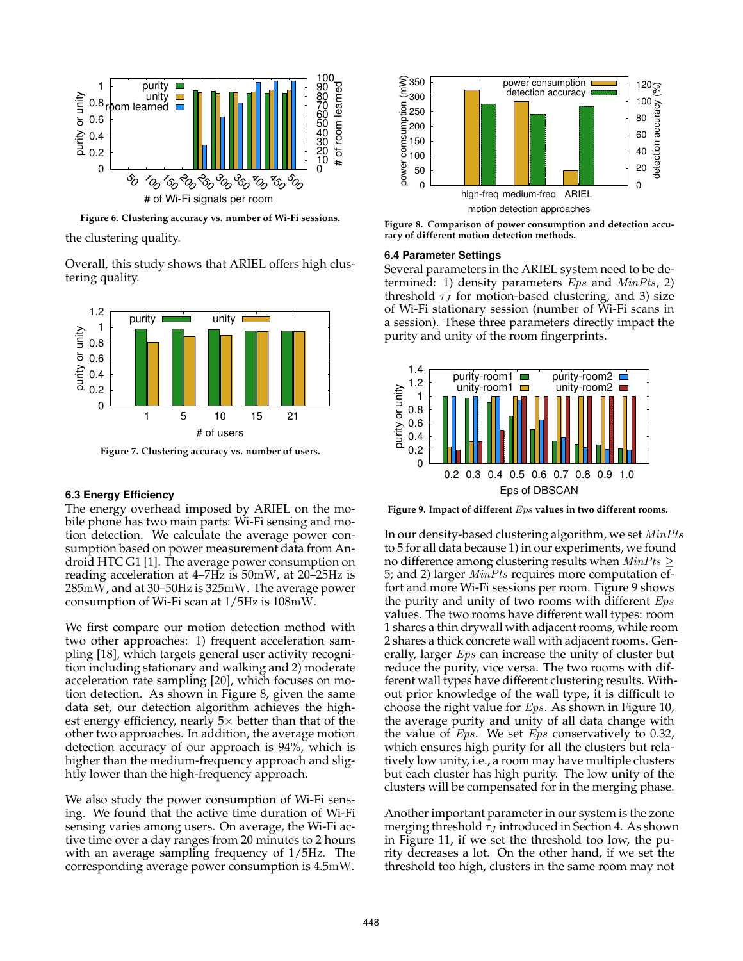

**Figure 6. Clustering accuracy vs. number of Wi-Fi sessions.**

the clustering quality.

Overall, this study shows that ARIEL offers high clustering quality.



**Figure 7. Clustering accuracy vs. number of users.**

## **6.3 Energy Efficiency**

The energy overhead imposed by ARIEL on the mobile phone has two main parts: Wi-Fi sensing and motion detection. We calculate the average power consumption based on power measurement data from Android HTC G1 [1]. The average power consumption on reading acceleration at 4–7Hz is 50mW, at 20–25Hz is 285mW, and at 30–50Hz is 325mW. The average power consumption of Wi-Fi scan at 1/5Hz is 108mW.

We first compare our motion detection method with two other approaches: 1) frequent acceleration sampling [18], which targets general user activity recognition including stationary and walking and 2) moderate acceleration rate sampling [20], which focuses on motion detection. As shown in Figure 8, given the same data set, our detection algorithm achieves the highest energy efficiency, nearly  $5\times$  better than that of the other two approaches. In addition, the average motion detection accuracy of our approach is 94%, which is higher than the medium-frequency approach and slightly lower than the high-frequency approach.

We also study the power consumption of Wi-Fi sensing. We found that the active time duration of Wi-Fi sensing varies among users. On average, the Wi-Fi active time over a day ranges from 20 minutes to 2 hours with an average sampling frequency of 1/5Hz. The corresponding average power consumption is 4.5mW.



**Figure 8. Comparison of power consumption and detection accuracy of different motion detection methods.**

#### **6.4 Parameter Settings**

Several parameters in the ARIEL system need to be determined: 1) density parameters  $Eps$  and  $MinPts$ , 2) threshold  $\tau_J$  for motion-based clustering, and 3) size of Wi-Fi stationary session (number of Wi-Fi scans in a session). These three parameters directly impact the purity and unity of the room fingerprints.



**Figure 9. Impact of different** Eps **values in two different rooms.**

In our density-based clustering algorithm, we set MinPts to 5 for all data because 1) in our experiments, we found no difference among clustering results when  $MinPts \geq$ 5; and 2) larger MinPts requires more computation effort and more Wi-Fi sessions per room. Figure 9 shows the purity and unity of two rooms with different  $Eps$ values. The two rooms have different wall types: room 1 shares a thin drywall with adjacent rooms, while room 2 shares a thick concrete wall with adjacent rooms. Generally, larger *Eps* can increase the unity of cluster but reduce the purity, vice versa. The two rooms with different wall types have different clustering results. Without prior knowledge of the wall type, it is difficult to choose the right value for Eps. As shown in Figure 10, the average purity and unity of all data change with the value of  $Eps$ . We set  $Eps$  conservatively to 0.32, which ensures high purity for all the clusters but relatively low unity, i.e., a room may have multiple clusters but each cluster has high purity. The low unity of the clusters will be compensated for in the merging phase.

Another important parameter in our system is the zone merging threshold  $\tau_J$  introduced in Section 4. As shown in Figure 11, if we set the threshold too low, the purity decreases a lot. On the other hand, if we set the threshold too high, clusters in the same room may not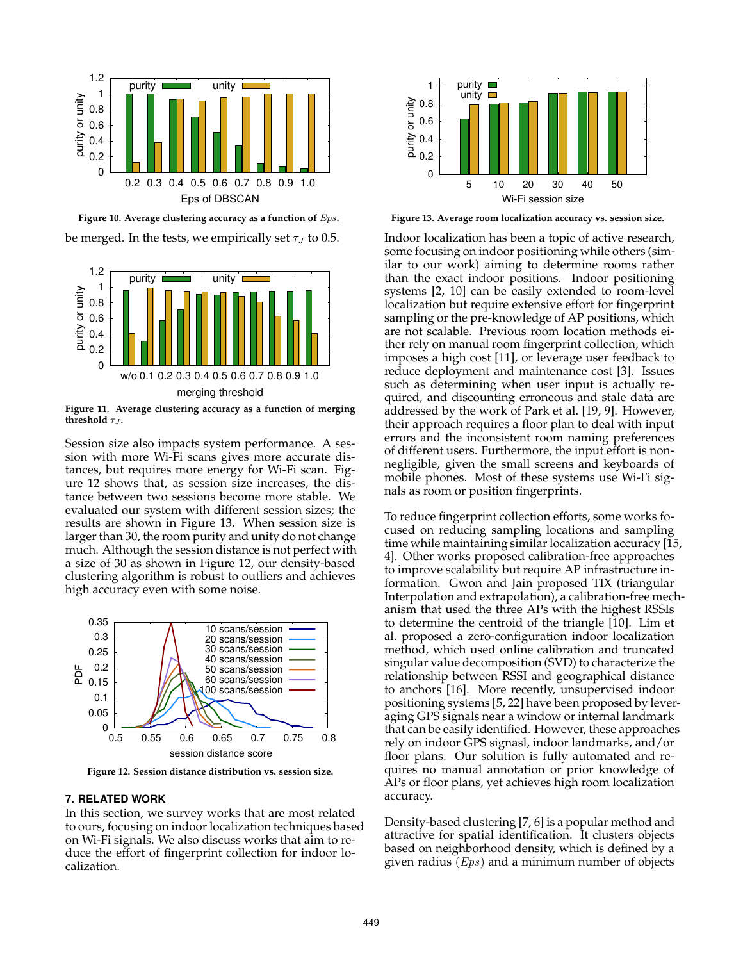

**Figure 10. Average clustering accuracy as a function of** Eps**.**

be merged. In the tests, we empirically set  $\tau_J$  to 0.5.



**Figure 11. Average clustering accuracy as a function of merging threshold**  $\tau_J$ **.** 

Session size also impacts system performance. A session with more Wi-Fi scans gives more accurate distances, but requires more energy for Wi-Fi scan. Figure 12 shows that, as session size increases, the distance between two sessions become more stable. We evaluated our system with different session sizes; the results are shown in Figure 13. When session size is larger than 30, the room purity and unity do not change much. Although the session distance is not perfect with a size of 30 as shown in Figure 12, our density-based clustering algorithm is robust to outliers and achieves high accuracy even with some noise.



**Figure 12. Session distance distribution vs. session size.**

# **7. RELATED WORK**

In this section, we survey works that are most related to ours, focusing on indoor localization techniques based on Wi-Fi signals. We also discuss works that aim to reduce the effort of fingerprint collection for indoor localization.



**Figure 13. Average room localization accuracy vs. session size.**

Indoor localization has been a topic of active research, some focusing on indoor positioning while others (similar to our work) aiming to determine rooms rather than the exact indoor positions. Indoor positioning systems [2, 10] can be easily extended to room-level localization but require extensive effort for fingerprint sampling or the pre-knowledge of AP positions, which are not scalable. Previous room location methods either rely on manual room fingerprint collection, which imposes a high cost [11], or leverage user feedback to reduce deployment and maintenance cost [3]. Issues such as determining when user input is actually required, and discounting erroneous and stale data are addressed by the work of Park et al. [19, 9]. However, their approach requires a floor plan to deal with input errors and the inconsistent room naming preferences of different users. Furthermore, the input effort is nonnegligible, given the small screens and keyboards of mobile phones. Most of these systems use Wi-Fi signals as room or position fingerprints.

To reduce fingerprint collection efforts, some works focused on reducing sampling locations and sampling time while maintaining similar localization accuracy [15, 4]. Other works proposed calibration-free approaches to improve scalability but require AP infrastructure information. Gwon and Jain proposed TIX (triangular Interpolation and extrapolation), a calibration-free mechanism that used the three APs with the highest RSSIs to determine the centroid of the triangle [10]. Lim et al. proposed a zero-configuration indoor localization method, which used online calibration and truncated singular value decomposition (SVD) to characterize the relationship between RSSI and geographical distance to anchors [16]. More recently, unsupervised indoor positioning systems [5, 22] have been proposed by leveraging GPS signals near a window or internal landmark that can be easily identified. However, these approaches rely on indoor GPS signasl, indoor landmarks, and/or floor plans. Our solution is fully automated and requires no manual annotation or prior knowledge of APs or floor plans, yet achieves high room localization accuracy.

Density-based clustering [7, 6] is a popular method and attractive for spatial identification. It clusters objects based on neighborhood density, which is defined by a given radius  $(Eps)$  and a minimum number of objects